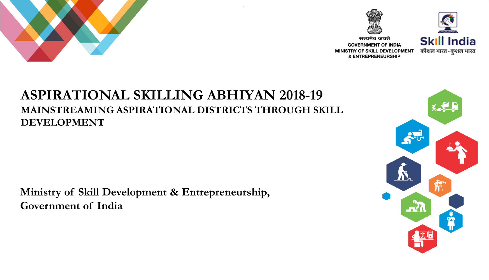



सत्यमेव जयते **GOVERNMENT OF INDIA** MINISTRY OF SKILL DEVELOPMENT **& ENTREPRENEURSHIP** 



#### **ASPIRATIONAL SKILLING ABHIYAN 2018-19 MAINSTREAMING ASPIRATIONAL DISTRICTS THROUGH SKILL DEVELOPMENT**

.

**Ministry of Skill Development & Entrepreneurship, Government of India**

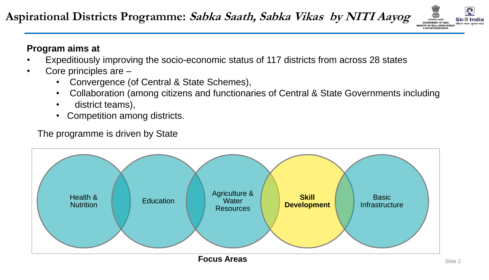

#### **Program aims at**

- Expeditiously improving the socio-economic status of 117 districts from across 28 states
- Core principles are
	- Convergence (of Central & State Schemes),
	- Collaboration (among citizens and functionaries of Central & State Governments including
	- district teams),
	- Competition among districts.

The programme is driven by State



Slide 2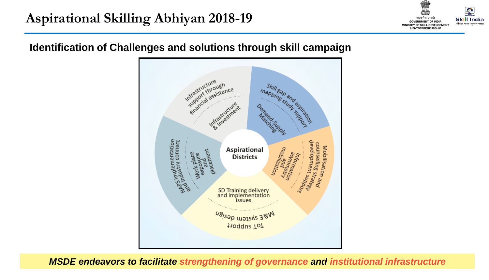

#### **Identification of Challenges and solutions through skill campaign**



**MSDE endeavors to facilitate strengthening of governance and institutional infrastructure**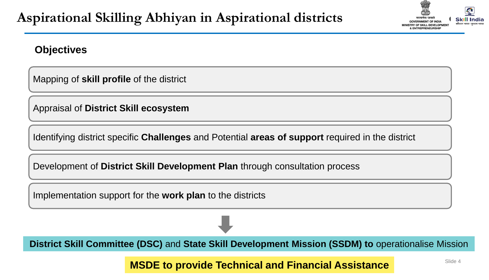

#### **Objectives**

Mapping of **skill profile** of the district

Appraisal of **District Skill ecosystem**

Identifying district specific **Challenges** and Potential **areas of support** required in the district

Development of **District Skill Development Plan** through consultation process

Implementation support for the **work plan** to the districts

**District Skill Committee (DSC)** and **State Skill Development Mission (SSDM) to** operationalise Mission

**MSDE to provide Technical and Financial Assistance**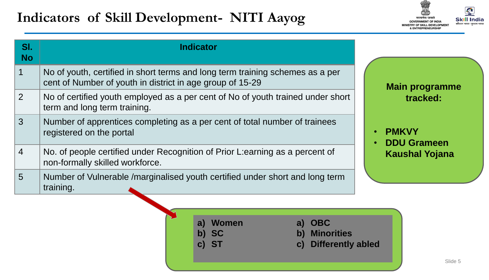# **Indicators of Skill Development- NITI Aayog**



| SI.<br><b>No</b> | <b>Indicator</b>                                                                                                                           |                                                |
|------------------|--------------------------------------------------------------------------------------------------------------------------------------------|------------------------------------------------|
|                  | No of youth, certified in short terms and long term training schemes as a per<br>cent of Number of youth in district in age group of 15-29 | <b>Main programme</b>                          |
| 2                | No of certified youth employed as a per cent of No of youth trained under short<br>term and long term training.                            | tracked:<br><b>PMKVY</b><br><b>DDU Grameen</b> |
| 3                | Number of apprentices completing as a per cent of total number of trainees<br>registered on the portal                                     |                                                |
| $\overline{4}$   | No. of people certified under Recognition of Prior L:earning as a percent of<br>non-formally skilled workforce.                            | <b>Kaushal Yojana</b>                          |
| 5                | Number of Vulnerable /marginalised youth certified under short and long term<br>training.                                                  |                                                |

**a) Women b) SC**

**c) ST**

- **a) OBC**
- **b) Minorities**
- **c) Differently abled**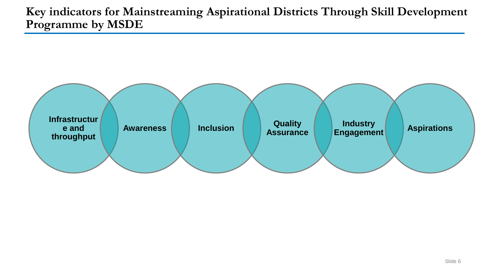**Key indicators for Mainstreaming Aspirational Districts Through Skill Development Programme by MSDE**

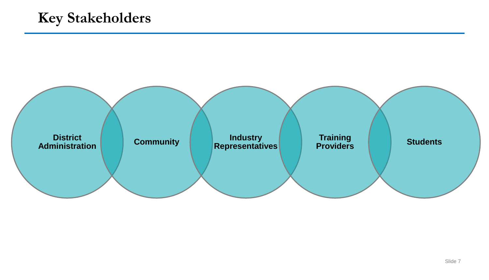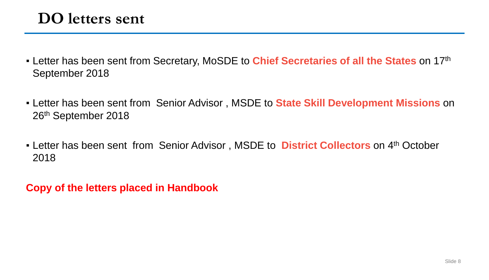- Letter has been sent from Secretary, MoSDE to **Chief Secretaries of all the States** on 17th September 2018
- **EXTER 12 FE 10 And The Sension Senior Advisor, MSDE to State Skill Development Missions** on 26th September 2018
- **EXTER** Letter has been sent from Senior Advisor, MSDE to **District Collectors** on 4<sup>th</sup> October 2018

**Copy of the letters placed in Handbook**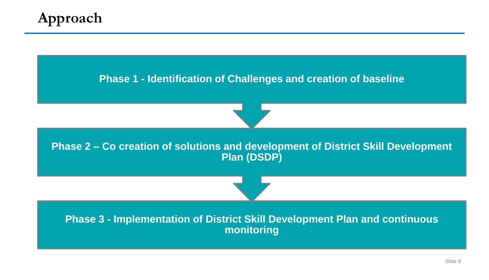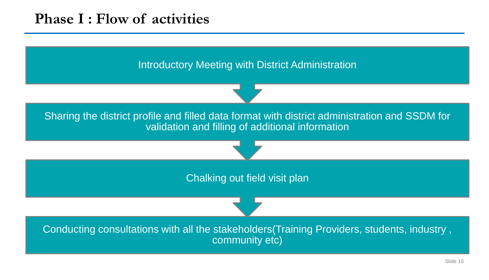## **Phase I : Flow of activities**

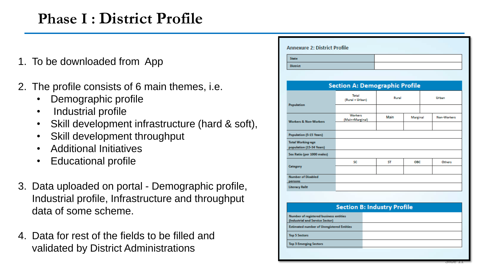# **Phase I : District Profile**

- 1. To be downloaded from App
- 2. The profile consists of 6 main themes, i.e.
	- Demographic profile
	- Industrial profile
	- Skill development infrastructure (hard & soft),
	- Skill development throughput
	- Additional Initiatives
	- Educational profile
- 3. Data uploaded on portal Demographic profile, Industrial profile, Infrastructure and throughput data of some scheme.
- 4. Data for rest of the fields to be filled and validated by District Administrations

| <b>Section A: Demographic Profile</b>                                               |       |            |             |  |
|-------------------------------------------------------------------------------------|-------|------------|-------------|--|
| Total<br>(Rural + Urban)                                                            | Rural |            | Urban       |  |
| Population                                                                          |       |            |             |  |
| Workers<br>(Main+Marginal)<br><b>Workers &amp; Non-Workers</b>                      | Main  | Marginal   | Non-Workers |  |
|                                                                                     |       |            |             |  |
| <b>Population (5-15 Years)</b>                                                      |       |            |             |  |
| <b>Total Working-age</b><br>population (15-34 Years)                                |       |            |             |  |
| Sex Ratio (per 1000 males)                                                          |       |            |             |  |
| SC                                                                                  | ST    | <b>OBC</b> | Others      |  |
| <b>Number of Disabled</b>                                                           |       |            |             |  |
| <b>Literacy Rate</b>                                                                |       |            |             |  |
|                                                                                     |       |            |             |  |
|                                                                                     |       |            |             |  |
|                                                                                     |       |            |             |  |
| <b>Section B: Industry Profile</b><br><b>Number of registered business entities</b> |       |            |             |  |

**Top 3 Emerging Sectors** 

Slide 11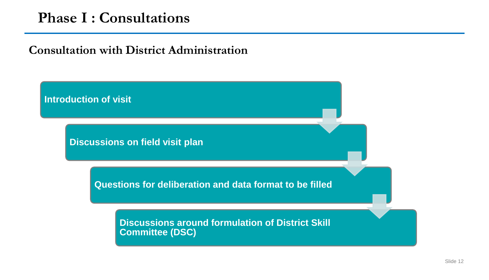### **Phase I : Consultations**

**Introduction of visit**

#### **Consultation with District Administration**

**Discussions on field visit plan**

**Questions for deliberation and data format to be filled**

**Discussions around formulation of District Skill Committee (DSC)**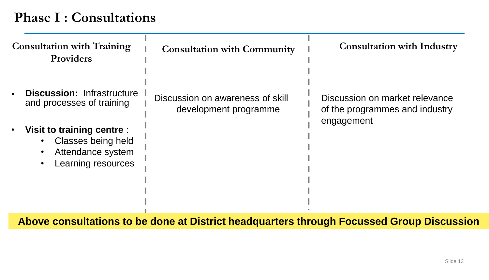## **Phase I : Consultations**

| <b>Consultation with Training</b><br>Providers                                                                                     | <b>Consultation with Community</b>                        | <b>Consultation with Industry</b>                                |
|------------------------------------------------------------------------------------------------------------------------------------|-----------------------------------------------------------|------------------------------------------------------------------|
| <b>Discussion: Infrastructure</b><br>$\blacksquare$<br>and processes of training                                                   | Discussion on awareness of skill<br>development programme | Discussion on market relevance<br>of the programmes and industry |
| Visit to training centre :<br>$\bullet$<br>Classes being held<br>Attendance system<br>$\bullet$<br>Learning resources<br>$\bullet$ |                                                           | engagement                                                       |
|                                                                                                                                    |                                                           |                                                                  |

**Above consultations to be done at District headquarters through Focussed Group Discussion**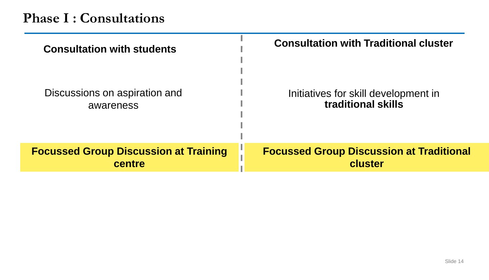| <b>Consultation with students</b>            | <b>Consultation with Traditional cluster</b>    |
|----------------------------------------------|-------------------------------------------------|
| Discussions on aspiration and                | Initiatives for skill development in            |
| awareness                                    | traditional skills                              |
| <b>Focussed Group Discussion at Training</b> | <b>Focussed Group Discussion at Traditional</b> |
| centre                                       | cluster                                         |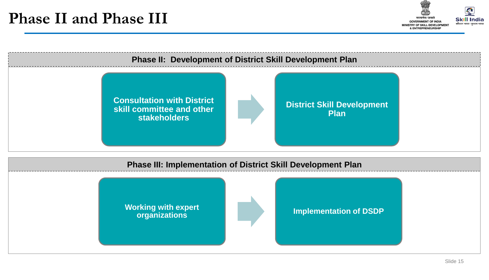

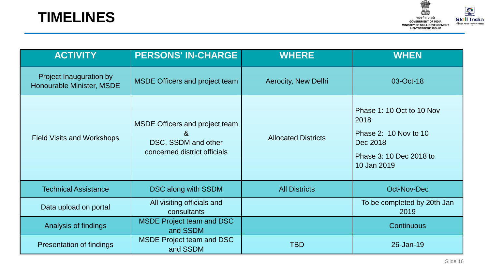



| <b>ACTIVITY</b>                                      | <b>PERSONS' IN-CHARGE</b>                                                                         | <b>WHERE</b>               | <b>WHEN</b>                                                                                                      |
|------------------------------------------------------|---------------------------------------------------------------------------------------------------|----------------------------|------------------------------------------------------------------------------------------------------------------|
| Project Inauguration by<br>Honourable Minister, MSDE | <b>MSDE Officers and project team</b>                                                             | Aerocity, New Delhi        | 03-Oct-18                                                                                                        |
| <b>Field Visits and Workshops</b>                    | <b>MSDE Officers and project team</b><br>&<br>DSC, SSDM and other<br>concerned district officials | <b>Allocated Districts</b> | Phase 1: 10 Oct to 10 Nov<br>2018<br>Phase 2: 10 Nov to 10<br>Dec 2018<br>Phase 3: 10 Dec 2018 to<br>10 Jan 2019 |
| <b>Technical Assistance</b>                          | DSC along with SSDM                                                                               | <b>All Districts</b>       | Oct-Nov-Dec                                                                                                      |
| Data upload on portal                                | All visiting officials and<br>consultants                                                         |                            | To be completed by 20th Jan<br>2019                                                                              |
| Analysis of findings                                 | <b>MSDE Project team and DSC</b><br>and SSDM                                                      |                            | <b>Continuous</b>                                                                                                |
| Presentation of findings                             | <b>MSDE Project team and DSC</b><br>and SSDM                                                      | <b>TBD</b>                 | 26-Jan-19                                                                                                        |